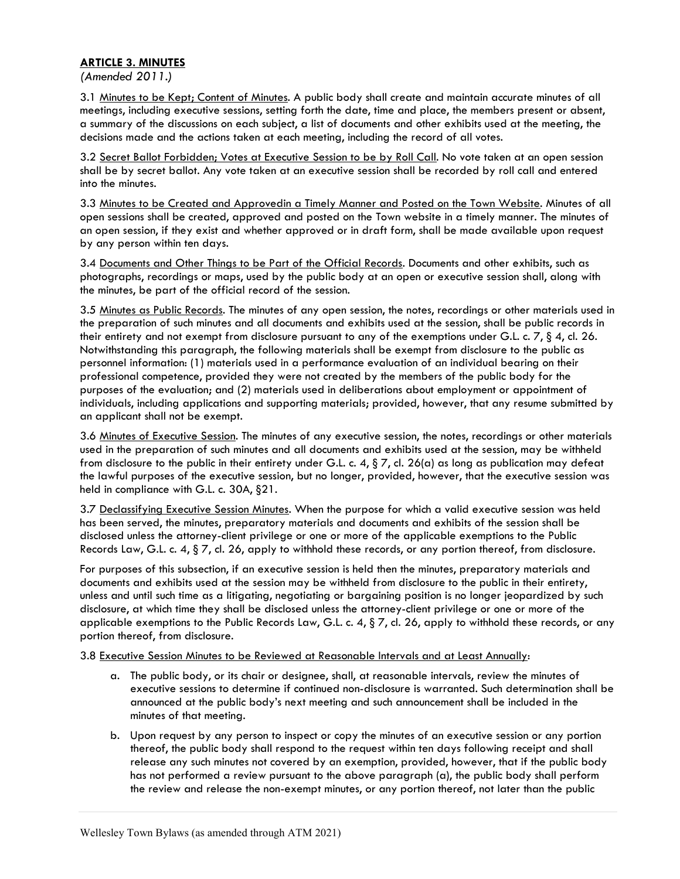## ARTICLE 3. MINUTES

(Amended 2011.)

3.1 Minutes to be Kept; Content of Minutes. A public body shall create and maintain accurate minutes of all meetings, including executive sessions, setting forth the date, time and place, the members present or absent, a summary of the discussions on each subject, a list of documents and other exhibits used at the meeting, the decisions made and the actions taken at each meeting, including the record of all votes.

3.2 Secret Ballot Forbidden; Votes at Executive Session to be by Roll Call. No vote taken at an open session shall be by secret ballot. Any vote taken at an executive session shall be recorded by roll call and entered into the minutes.

3.3 Minutes to be Created and Approvedin a Timely Manner and Posted on the Town Website. Minutes of all open sessions shall be created, approved and posted on the Town website in a timely manner. The minutes of an open session, if they exist and whether approved or in draft form, shall be made available upon request by any person within ten days.

3.4 Documents and Other Things to be Part of the Official Records. Documents and other exhibits, such as photographs, recordings or maps, used by the public body at an open or executive session shall, along with the minutes, be part of the official record of the session.

3.5 Minutes as Public Records. The minutes of any open session, the notes, recordings or other materials used in the preparation of such minutes and all documents and exhibits used at the session, shall be public records in their entirety and not exempt from disclosure pursuant to any of the exemptions under G.L. c. 7, § 4, cl. 26. Notwithstanding this paragraph, the following materials shall be exempt from disclosure to the public as personnel information: (1) materials used in a performance evaluation of an individual bearing on their professional competence, provided they were not created by the members of the public body for the purposes of the evaluation; and (2) materials used in deliberations about employment or appointment of individuals, including applications and supporting materials; provided, however, that any resume submitted by an applicant shall not be exempt.

3.6 Minutes of Executive Session. The minutes of any executive session, the notes, recordings or other materials used in the preparation of such minutes and all documents and exhibits used at the session, may be withheld from disclosure to the public in their entirety under G.L. c. 4,  $\S 7$ , cl. 26(a) as long as publication may defeat the lawful purposes of the executive session, but no longer, provided, however, that the executive session was held in compliance with G.L. c. 30A, §21.

3.7 Declassifying Executive Session Minutes. When the purpose for which a valid executive session was held has been served, the minutes, preparatory materials and documents and exhibits of the session shall be disclosed unless the attorney-client privilege or one or more of the applicable exemptions to the Public Records Law, G.L. c. 4, § 7, cl. 26, apply to withhold these records, or any portion thereof, from disclosure.

For purposes of this subsection, if an executive session is held then the minutes, preparatory materials and documents and exhibits used at the session may be withheld from disclosure to the public in their entirety, unless and until such time as a litigating, negotiating or bargaining position is no longer jeopardized by such disclosure, at which time they shall be disclosed unless the attorney-client privilege or one or more of the applicable exemptions to the Public Records Law, G.L. c. 4, § 7, cl. 26, apply to withhold these records, or any portion thereof, from disclosure.

3.8 Executive Session Minutes to be Reviewed at Reasonable Intervals and at Least Annually:

- a. The public body, or its chair or designee, shall, at reasonable intervals, review the minutes of executive sessions to determine if continued non-disclosure is warranted. Such determination shall be announced at the public body's next meeting and such announcement shall be included in the minutes of that meeting.
- b. Upon request by any person to inspect or copy the minutes of an executive session or any portion thereof, the public body shall respond to the request within ten days following receipt and shall release any such minutes not covered by an exemption, provided, however, that if the public body has not performed a review pursuant to the above paragraph (a), the public body shall perform the review and release the non-exempt minutes, or any portion thereof, not later than the public